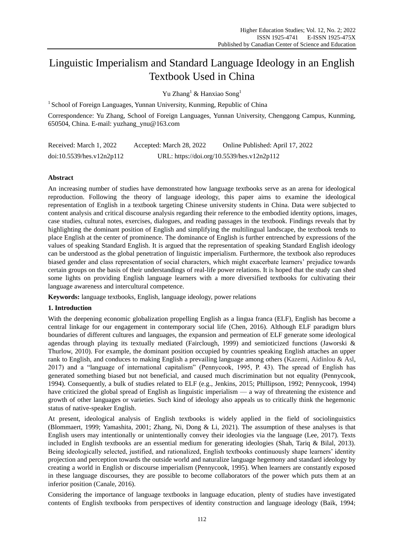# Linguistic Imperialism and Standard Language Ideology in an English Textbook Used in China

Yu Zhang<sup>1</sup> & Hanxiao Song<sup>1</sup>

 $1$  School of Foreign Languages, Yunnan University, Kunming, Republic of China

Correspondence: Yu Zhang, School of Foreign Languages, Yunnan University, Chenggong Campus, Kunming, 650504, China. E-mail: yuzhang\_ynu@163.com

| Received: March 1, 2022   | Accepted: March 28, 2022 | Online Published: April 17, 2022           |
|---------------------------|--------------------------|--------------------------------------------|
| doi:10.5539/hes.v12n2p112 |                          | URL: https://doi.org/10.5539/hes.v12n2p112 |

# **Abstract**

An increasing number of studies have demonstrated how language textbooks serve as an arena for ideological reproduction. Following the theory of language ideology, this paper aims to examine the ideological representation of English in a textbook targeting Chinese university students in China. Data were subjected to content analysis and critical discourse analysis regarding their reference to the embodied identity options, images, case studies, cultural notes, exercises, dialogues, and reading passages in the textbook. Findings reveals that by highlighting the dominant position of English and simplifying the multilingual landscape, the textbook tends to place English at the center of prominence. The dominance of English is further entrenched by expressions of the values of speaking Standard English. It is argued that the representation of speaking Standard English ideology can be understood as the global penetration of linguistic imperialism. Furthermore, the textbook also reproduces biased gender and class representation of social characters, which might exacerbate learners" prejudice towards certain groups on the basis of their understandings of real-life power relations. It is hoped that the study can shed some lights on providing English language learners with a more diversified textbooks for cultivating their language awareness and intercultural competence.

**Keywords:** language textbooks, English, language ideology, power relations

# **1. Introduction**

With the deepening economic globalization propelling English as a lingua franca (ELF), English has become a central linkage for our engagement in contemporary social life (Chen, 2016). Although ELF paradigm blurs boundaries of different cultures and languages, the expansion and permeation of ELF generate some ideological agendas through playing its textually mediated (Fairclough, 1999) and semioticized functions (Jaworski & Thurlow, 2010). For example, the dominant position occupied by countries speaking English attaches an upper rank to English, and conduces to making English a prevailing language among others (Kazemi, Aidinlou & Asl, 2017) and a "language of international capitalism" (Pennycook, 1995, P. 43). The spread of English has generated something biased but not beneficial, and caused much discrimination but not equality (Pennycook, 1994). Consequently, a bulk of studies related to ELF (e.g., Jenkins, 2015; Phillipson, 1992; Pennycook, 1994) have criticized the global spread of English as linguistic imperialism — a way of threatening the existence and growth of other languages or varieties. Such kind of ideology also appeals us to critically think the hegemonic status of native-speaker English.

At present, ideological analysis of English textbooks is widely applied in the field of sociolinguistics (Blommaert, 1999; Yamashita, 2001; Zhang, Ni, Dong & Li, 2021). The assumption of these analyses is that English users may intentionally or unintentionally convey their ideologies via the language (Lee, 2017). Texts included in English textbooks are an essential medium for generating ideologies (Shah, Tariq & Bilal, 2013). Being ideologically selected, justified, and rationalized, English textbooks continuously shape learners' identity projection and perception towards the outside world and naturalize language hegemony and standard ideology by creating a world in English or discourse imperialism (Pennycook, 1995). When learners are constantly exposed in these language discourses, they are possible to become collaborators of the power which puts them at an inferior position (Canale, 2016).

Considering the importance of language textbooks in language education, plenty of studies have investigated contents of English textbooks from perspectives of identity construction and language ideology (Baik, 1994;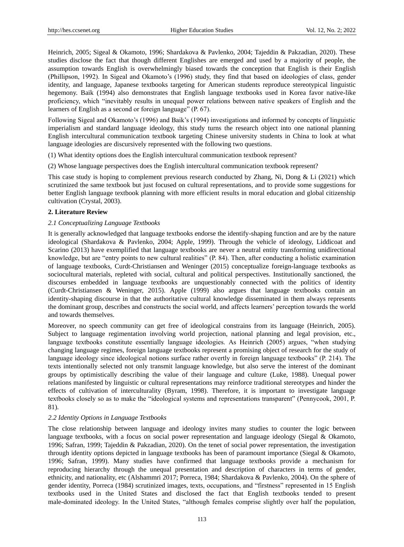Heinrich, 2005; Sigeal & Okamoto, 1996; Shardakova & Pavlenko, 2004; Tajeddin & Pakzadian, 2020). These studies disclose the fact that though different Englishes are emerged and used by a majority of people, the assumption towards English is overwhelmingly biased towards the conception that English is their English (Phillipson, 1992). In Sigeal and Okamoto"s (1996) study, they find that based on ideologies of class, gender identity, and language, Japanese textbooks targeting for American students reproduce stereotypical linguistic hegemony. Baik (1994) also demonstrates that English language textbooks used in Korea favor native-like proficiency, which "inevitably results in unequal power relations between native speakers of English and the learners of English as a second or foreign language" (P. 67).

Following Sigeal and Okamoto"s (1996) and Baik"s (1994) investigations and informed by concepts of linguistic imperialism and standard language ideology, this study turns the research object into one national planning English intercultural communication textbook targeting Chinese university students in China to look at what language ideologies are discursively represented with the following two questions.

(1) What identity options does the English intercultural communication textbook represent?

(2) Whose language perspectives does the English intercultural communication textbook represent?

This case study is hoping to complement previous research conducted by Zhang, Ni, Dong & Li (2021) which scrutinized the same textbook but just focused on cultural representations, and to provide some suggestions for better English language textbook planning with more efficient results in moral education and global citizenship cultivation (Crystal, 2003).

## **2. Literature Review**

## *2.1 Conceptualizing Language Textbooks*

It is generally acknowledged that language textbooks endorse the identify-shaping function and are by the nature ideological (Shardakova & Pavlenko, 2004; Apple, 1999). Through the vehicle of ideology, Liddicoat and Scarino (2013) have exemplified that language textbooks are never a neutral entity transforming unidirectional knowledge, but are "entry points to new cultural realities" (P. 84). Then, after conducting a holistic examination of language textbooks, Curdt-Christiansen and Weninger (2015) conceptualize foreign-language textbooks as sociocultural materials, repleted with social, cultural and political perspectives. Institutionally sanctioned, the discourses embedded in language textbooks are unquestionably connected with the politics of identity (Curdt-Christiansen & Weninger, 2015). Apple (1999) also argues that language textbooks contain an identity-shaping discourse in that the authoritative cultural knowledge disseminated in them always represents the dominant group, describes and constructs the social world, and affects learners" perception towards the world and towards themselves.

Moreover, no speech community can get free of ideological constrains from its language (Heinrich, 2005). Subject to language regimentation involving world projection, national planning and legal provision, etc., language textbooks constitute essentially language ideologies. As Heinrich (2005) argues, "when studying changing language regimes, foreign language textbooks represent a promising object of research for the study of language ideology since ideological notions surface rather overtly in foreign language textbooks" (P. 214). The texts intentionally selected not only transmit language knowledge, but also serve the interest of the dominant groups by optimistically describing the value of their language and culture (Luke, 1988). Unequal power relations manifested by linguistic or cultural representations may reinforce traditional stereotypes and hinder the effects of cultivation of interculturality (Byram, 1998). Therefore, it is important to investigate language textbooks closely so as to make the "ideological systems and representations transparent" (Pennycook, 2001, P. 81).

#### *2.2 Identity Options in Language Textbooks*

The close relationship between language and ideology invites many studies to counter the logic between language textbooks, with a focus on social power representation and language ideology (Siegal & Okamoto, 1996; Safran, 1999; Tajeddin & Pakzadian, 2020). On the tenet of social power representation, the investigation through identity options depicted in language textbooks has been of paramount importance (Siegal & Okamoto, 1996; Safran, 1999). Many studies have confirmed that language textbooks provide a mechanism for reproducing hierarchy through the unequal presentation and description of characters in terms of gender, ethnicity, and nationality, etc (Alshammri 2017; Porreca, 1984; Shardakova & Pavlenko, 2004). On the sphere of gender identity, Porreca (1984) scrutinized images, texts, occupations, and "firstness" represented in 15 English textbooks used in the United States and disclosed the fact that English textbooks tended to present male-dominated ideology. In the United States, "although females comprise slightly over half the population,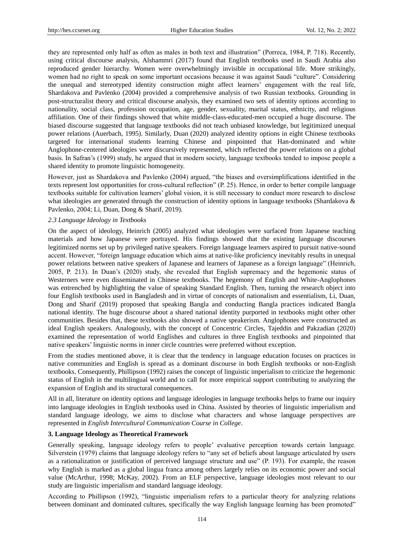they are represented only half as often as males in both text and illustration" (Porreca, 1984, P. 718). Recently, using critical discourse analysis, Alshammri (2017) found that English textbooks used in Saudi Arabia also reproduced gender hierarchy. Women were overwhelmingly invisible in occupational life. More strikingly, women had no right to speak on some important occasions because it was against Saudi "culture". Considering the unequal and stereotyped identity construction might affect learners" engagement with the real life, Shardakova and Pavlenko (2004) provided a comprehensive analysis of two Russian textbooks. Grounding in post-structuralist theory and critical discourse analysis, they examined two sets of identity options according to nationality, social class, profession occupation, age, gender, sexuality, marital status, ethnicity, and religious affiliation. One of their findings showed that white middle-class-educated-men occupied a huge discourse. The biased discourse suggested that language textbooks did not teach unbiased knowledge, but legitimized unequal power relations (Auerbach, 1995). Similarly, Duan (2020) analyzed identity options in eight Chinese textbooks targeted for international students learning Chinese and pinpointed that Han-dominated and white Anglophone-centered ideologies were discursively represented, which reflected the power relations on a global basis. In Safran"s (1999) study, he argued that in modern society, language textbooks tended to impose people a shared identity to promote linguistic homogeneity.

However, just as Shardakova and Pavlenko (2004) argued, "the biases and oversimplifications identified in the texts represent lost opportunities for cross-cultural reflection" (P. 25). Hence, in order to better compile language textbooks suitable for cultivation learners" global vision, it is still necessary to conduct more research to disclose what ideologies are generated through the construction of identity options in language textbooks (Shardakova & Pavlenko, 2004; Li, Duan, Dong & Sharif, 2019).

## *2.3 Language Ideology in Textbooks*

On the aspect of ideology, Heinrich (2005) analyzed what ideologies were surfaced from Japanese teaching materials and how Japanese were portrayed. His findings showed that the existing language discourses legitimized norms set up by privileged native speakers. Foreign language learners aspired to pursuit native-sound accent. However, "foreign language education which aims at native-like proficiency inevitably results in unequal power relations between native speakers of Japanese and learners of Japanese as a foreign language" (Heinrich, 2005, P. 213). In Duan"s (2020) study, she revealed that English supremacy and the hegemonic status of Westerners were even disseminated in Chinese textbooks. The hegemony of English and White-Anglophones was entrenched by highlighting the value of speaking Standard English. Then, turning the research object into four English textbooks used in Bangladesh and in virtue of concepts of nationalism and essentialism, Li, Duan, Dong and Sharif (2019) proposed that speaking Bangla and conducting Bangla practices indicated Bangla national identity. The huge discourse about a shared national identity purported in textbooks might other other communities. Besides that, these textbooks also showed a native speakerism. Anglophones were constructed as ideal English speakers. Analogously, with the concept of Concentric Circles, Tajeddin and Pakzadian (2020) examined the representation of world Englishes and cultures in three English textbooks and pinpointed that native speakers" linguistic norms in inner circle countries were preferred without exception.

From the studies mentioned above, it is clear that the tendency in language education focuses on practices in native communities and English is spread as a dominant discourse in both English textbooks or non-English textbooks. Consequently, Phillipson (1992) raises the concept of linguistic imperialism to criticize the hegemonic status of English in the multilingual world and to call for more empirical support contributing to analyzing the expansion of English and its structural consequences.

All in all, literature on identity options and language ideologies in language textbooks helps to frame our inquiry into language ideologies in English textbooks used in China. Assisted by theories of linguistic imperialism and standard language ideology, we aims to disclose what characters and whose language perspectives are represented in *English Intercultural Communication Course in College*.

# **3. Language Ideology as Theoretical Framework**

Generally speaking, language ideology refers to people" evaluative perception towards certain language. Silverstein (1979) claims that language ideology refers to "any set of beliefs about language articulated by users as a rationalization or justification of perceived language structure and use" (P. 193). For example, the reason why English is marked as a global lingua franca among others largely relies on its economic power and social value (McArthur, 1998; McKay, 2002). From an ELF perspective, language ideologies most relevant to our study are linguistic imperialism and standard language ideology.

According to Phillipson (1992), "linguistic imperialism refers to a particular theory for analyzing relations between dominant and dominated cultures, specifically the way English language learning has been promoted"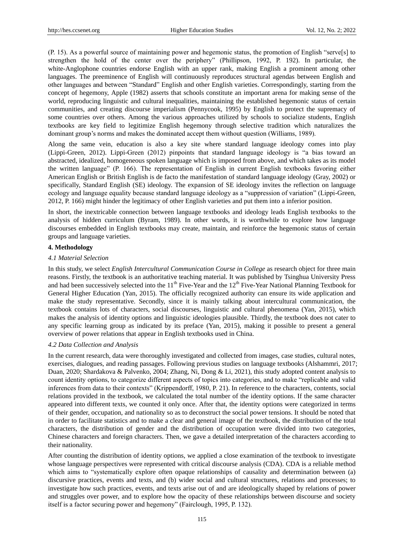(P. 15). As a powerful source of maintaining power and hegemonic status, the promotion of English "serve[s] to strengthen the hold of the center over the periphery" (Phillipson, 1992, P. 192). In particular, the white-Anglophone countries endorse English with an upper rank, making English a prominent among other languages. The preeminence of English will continuously reproduces structural agendas between English and other languages and between "Standard" English and other English varieties. Correspondingly, starting from the concept of hegemony, Apple (1982) asserts that schools constitute an important arena for making sense of the world, reproducing linguistic and cultural inequalities, maintaining the established hegemonic status of certain communities, and creating discourse imperialism (Pennycook, 1995) by English to protect the supremacy of some countries over others. Among the various approaches utilized by schools to socialize students, English textbooks are key field to legitimize English hegemony through selective tradition which naturalizes the dominant group's norms and makes the dominated accept them without question (Williams, 1989).

Along the same vein, education is also a key site where standard language ideology comes into play (Lippi-Green, 2012). Lippi-Green (2012) pinpoints that standard language ideology is "a bias toward an abstracted, idealized, homogeneous spoken language which is imposed from above, and which takes as its model the written language" (P. 166). The representation of English in current English textbooks favoring either American English or British English is de facto the manifestation of standard language ideology (Gray, 2002) or specifically, Standard English (SE) ideology. The expansion of SE ideology invites the reflection on language ecology and language equality because standard language ideology as a "suppression of variation" (Lippi-Green, 2012, P. 166) might hinder the legitimacy of other English varieties and put them into a inferior position.

In short, the inextricable connection between language textbooks and ideology leads English textbooks to the analysis of hidden curriculum (Byram, 1989). In other words, it is worthwhile to explore how language discourses embedded in English textbooks may create, maintain, and reinforce the hegemonic status of certain groups and language varieties.

## **4. Methodology**

#### *4.1 Material Selection*

In this study, we select *English Intercultural Communication Course in College* as research object for three main reasons. Firstly, the textbook is an authoritative teaching material. It was published by Tsinghua University Press and had been successively selected into the  $11<sup>th</sup>$  Five-Year and the  $12<sup>th</sup>$  Five-Year National Planning Textbook for General Higher Education (Yan, 2015). The officially recognized authority can ensure its wide application and make the study representative. Secondly, since it is mainly talking about intercultural communication, the textbook contains lots of characters, social discourses, linguistic and cultural phenomena (Yan, 2015), which makes the analysis of identity options and linguistic ideologies plausible. Thirdly, the textbook does not cater to any specific learning group as indicated by its preface (Yan, 2015), making it possible to present a general overview of power relations that appear in English textbooks used in China.

#### *4.2 Data Collection and Analysis*

In the current research, data were thoroughly investigated and collected from images, case studies, cultural notes, exercises, dialogues, and reading passages. Following previous studies on language textbooks (Alshammri, 2017; Duan, 2020; Shardakova & Palvenko, 2004; Zhang, Ni, Dong & Li, 2021), this study adopted content analysis to count identity options, to categorize different aspects of topics into categories, and to make "replicable and valid inferences from data to their contexts" (Krippendorff, 1980, P. 21). In reference to the characters, contents, social relations provided in the textbook, we calculated the total number of the identity options. If the same character appeared into different texts, we counted it only once. After that, the identity options were categorized in terms of their gender, occupation, and nationality so as to deconstruct the social power tensions. It should be noted that in order to facilitate statistics and to make a clear and general image of the textbook, the distribution of the total characters, the distribution of gender and the distribution of occupation were divided into two categories, Chinese characters and foreign characters. Then, we gave a detailed interpretation of the characters according to their nationality.

After counting the distribution of identity options, we applied a close examination of the textbook to investigate whose language perspectives were represented with critical discourse analysis (CDA). CDA is a reliable method which aims to "systematically explore often opaque relationships of causality and determination between (a) discursive practices, events and texts, and (b) wider social and cultural structures, relations and processes; to investigate how such practices, events, and texts arise out of and are ideologically shaped by relations of power and struggles over power, and to explore how the opacity of these relationships between discourse and society itself is a factor securing power and hegemony" (Fairclough, 1995, P. 132).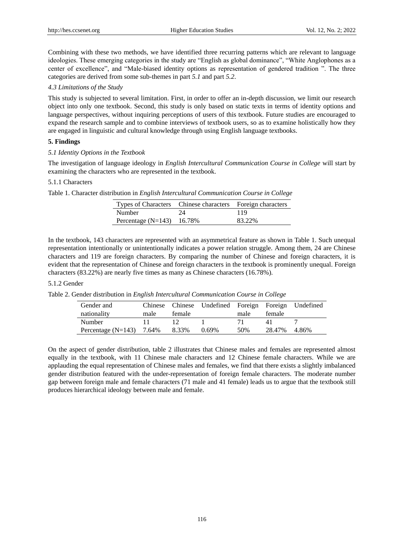Combining with these two methods, we have identified three recurring patterns which are relevant to language ideologies. These emerging categories in the study are "English as global dominance", "White Anglophones as a center of excellence", and "Male-biased identity options as representation of gendered tradition ". The three categories are derived from some sub-themes in part *5.1* and part *5.2*.

## *4.3 Limitations of the Study*

This study is subjected to several limitation. First, in order to offer an in-depth discussion, we limit our research object into only one textbook. Second, this study is only based on static texts in terms of identity options and language perspectives, without inquiring perceptions of users of this textbook. Future studies are encouraged to expand the research sample and to combine interviews of textbook users, so as to examine holistically how they are engaged in linguistic and cultural knowledge through using English language textbooks.

# **5. Findings**

## *5.1 Identity Options in the Textbook*

The investigation of language ideology in *English Intercultural Communication Course in College* will start by examining the characters who are represented in the textbook.

# 5.1.1 Characters

Table 1. Character distribution in *English Intercultural Communication Course in College*

| Types of Characters Chinese characters Foreign characters |    |        |
|-----------------------------------------------------------|----|--------|
| Number                                                    | 24 | -119   |
| Percentage $(N=143)$ 16.78%                               |    | 83.22% |

In the textbook, 143 characters are represented with an asymmetrical feature as shown in Table 1. Such unequal representation intentionally or unintentionally indicates a power relation struggle. Among them, 24 are Chinese characters and 119 are foreign characters. By comparing the number of Chinese and foreign characters, it is evident that the representation of Chinese and foreign characters in the textbook is prominently unequal. Foreign characters (83.22%) are nearly five times as many as Chinese characters (16.78%).

# 5.1.2 Gender

Table 2. Gender distribution in *English Intercultural Communication Course in College*

| Gender and           | Chinese |        | Chinese Undefined Foreign Foreign |      |        | Undefined |
|----------------------|---------|--------|-----------------------------------|------|--------|-----------|
| nationality          | male    | female |                                   | male | female |           |
| Number               |         |        |                                   |      | 4 I    |           |
| Percentage $(N=143)$ | 7.64%   | 8.33%  | $0.69\%$                          | 50%  | 28.47% | 4 86%     |

On the aspect of gender distribution, table 2 illustrates that Chinese males and females are represented almost equally in the textbook, with 11 Chinese male characters and 12 Chinese female characters. While we are applauding the equal representation of Chinese males and females, we find that there exists a slightly imbalanced gender distribution featured with the under-representation of foreign female characters. The moderate number gap between foreign male and female characters (71 male and 41 female) leads us to argue that the textbook still produces hierarchical ideology between male and female.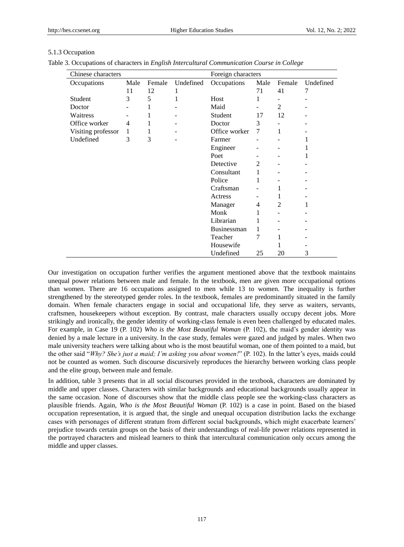# 5.1.3 Occupation

| Table 3. Occupations of characters in English Intercultural Communication Course in College |  |  |
|---------------------------------------------------------------------------------------------|--|--|
|---------------------------------------------------------------------------------------------|--|--|

| Chinese characters | Foreign characters |        |           |                    |      |        |           |
|--------------------|--------------------|--------|-----------|--------------------|------|--------|-----------|
| Occupations        | Male               | Female | Undefined | Occupations        | Male | Female | Undefined |
|                    | 11                 | 12     | 1         |                    | 71   | 41     | 7         |
| Student            | 3                  | 5      | 1         | Host               | 1    |        |           |
| Doctor             |                    | 1      |           | Maid               |      | 2      |           |
| Waitress           |                    | 1      |           | Student            | 17   | 12     |           |
| Office worker      | $\overline{4}$     | 1      |           | Doctor             | 3    |        |           |
| Visiting professor | 1                  | 1      |           | Office worker      | 7    | 1      |           |
| Undefined          | 3                  | 3      |           | Farmer             |      |        | 1         |
|                    |                    |        |           | Engineer           |      |        | 1         |
|                    |                    |        |           | Poet               |      |        | 1         |
|                    |                    |        |           | Detective          | 2    |        |           |
|                    |                    |        |           | Consultant         | 1    |        |           |
|                    |                    |        |           | Police             | 1    |        |           |
|                    |                    |        |           | Craftsman          |      | 1      |           |
|                    |                    |        |           | Actress            |      | 1      |           |
|                    |                    |        |           | Manager            | 4    | 2      | 1         |
|                    |                    |        |           | Monk               | 1    |        |           |
|                    |                    |        |           | Librarian          | 1    |        |           |
|                    |                    |        |           | <b>Businessman</b> | 1    |        |           |
|                    |                    |        |           | Teacher            | 7    | 1      |           |
|                    |                    |        |           | Housewife          |      |        |           |
|                    |                    |        |           | Undefined          | 25   | 20     | 3         |

Our investigation on occupation further verifies the argument mentioned above that the textbook maintains unequal power relations between male and female. In the textbook, men are given more occupational options than women. There are 16 occupations assigned to men while 13 to women. The inequality is further strengthened by the stereotyped gender roles. In the textbook, females are predominantly situated in the family domain. When female characters engage in social and occupational life, they serve as waiters, servants, craftsmen, housekeepers without exception. By contrast, male characters usually occupy decent jobs. More strikingly and ironically, the gender identity of working-class female is even been challenged by educated males. For example, in Case 19 (P. 102) *Who is the Most Beautiful Woman* (P. 102), the maid's gender identity was denied by a male lecture in a university. In the case study, females were gazed and judged by males. When two male university teachers were talking about who is the most beautiful woman, one of them pointed to a maid, but the other said "Why? She's just a maid; I'm asking you about women!" (P. 102). In the latter's eyes, maids could not be counted as women. Such discourse discursively reproduces the hierarchy between working class people and the elite group, between male and female.

In addition, table 3 presents that in all social discourses provided in the textbook, characters are dominated by middle and upper classes. Characters with similar backgrounds and educational backgrounds usually appear in the same occasion. None of discourses show that the middle class people see the working-class characters as plausible friends. Again, *Who is the Most Beautiful Woman* (P. 102) is a case in point. Based on the biased occupation representation, it is argued that, the single and unequal occupation distribution lacks the exchange cases with personages of different stratum from different social backgrounds, which might exacerbate learners" prejudice towards certain groups on the basis of their understandings of real-life power relations represented in the portrayed characters and mislead learners to think that intercultural communication only occurs among the middle and upper classes.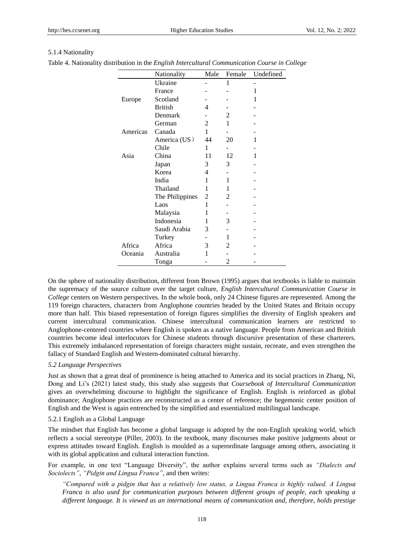# 5.1.4 Nationality

| Table 4. Nationality distribution in the English Intercultural Communication Course in College |  |  |
|------------------------------------------------------------------------------------------------|--|--|
|------------------------------------------------------------------------------------------------|--|--|

|          | Nationality     | Male | Female | Undefined |
|----------|-----------------|------|--------|-----------|
|          | Ukraine         |      | 1      |           |
|          | France          |      |        | 1         |
| Europe   | Scotland        |      |        | 1         |
|          | <b>British</b>  | 4    |        |           |
|          | Denmark         |      | 2      |           |
|          | German          | 2    | 1      |           |
| Americas | Canada          | 1    |        |           |
|          | America (US)    | 44   | 20     | 1         |
|          | Chile           | 1    |        |           |
| Asia     | China           | 11   | 12     | 1         |
|          | Japan           | 3    | 3      |           |
|          | Korea           | 4    |        |           |
|          | India           | 1    | 1      |           |
|          | Thailand        | 1    | 1      |           |
|          | The Philippines | 2    | 2      |           |
|          | Laos            | 1    |        |           |
|          | Malaysia        | 1    |        |           |
|          | Indonesia       | 1    | 3      |           |
|          | Saudi Arabia    | 3    |        |           |
|          | Turkey          |      | 1      |           |
| Africa   | Africa          | 3    | 2      |           |
| Oceania  | Australia       | 1    |        |           |
|          | Tonga           |      | 2      |           |

On the sphere of nationality distribution, different from Brown (1995) argues that textbooks is liable to maintain the supremacy of the source culture over the target culture, *English Intercultural Communication Course in College* centers on Western perspectives*.* In the whole book, only 24 Chinese figures are represented. Among the 119 foreign characters, characters from Anglophone countries headed by the United States and Britain occupy more than half. This biased representation of foreign figures simplifies the diversity of English speakers and current intercultural communication. Chinese intercultural communication learners are restricted to Anglophone-centered countries where English is spoken as a native language. People from American and British countries become ideal interlocutors for Chinese students through discursive presentation of these charterers. This extremely imbalanced representation of foreign characters might sustain, recreate, and even strengthen the fallacy of Standard English and Western-dominated cultural hierarchy.

# *5.2 Language Perspectives*

Just as shown that a great deal of prominence is being attached to America and its social practices in Zhang, Ni, Dong and Li"s (2021) latest study, this study also suggests that *Coursebook of Intercultural Communication* gives an overwhelming discourse to highlight the significance of English. English is reinforced as global dominance; Anglophone practices are reconstructed as a center of reference; the hegemonic center position of English and the West is again entrenched by the simplified and essentialized multilingual landscape.

# 5.2.1 English as a Global Language

The mindset that English has become a global language is adopted by the non-English speaking world, which reflects a social stereotype (Piller, 2003). In the textbook, many discourses make positive judgments about or express attitudes toward English. English is moulded as a superordinate language among others, associating it with its global application and cultural interaction function.

For example, in one text "Language Diversity", the author explains several terms such as *"Dialects and Sociolects"*, *"Pidgin and Lingua Franca"*, and then writes:

*"Compared with a pidgin that has a relatively low status, a Lingua Franca is highly valued. A Lingua Franca is also used for communication purposes between different groups of people, each speaking a different language. It is viewed as an international means of communication and, therefore, holds prestige*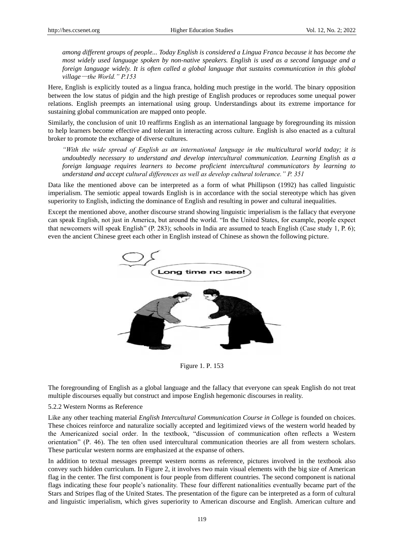*among different groups of people... Today English is considered a Lingua Franca because it has become the most widely used language spoken by non-native speakers. English is used as a second language and a foreign language widely. It is often called a global language that sustains communication in this global village*—*the World." P.153*

Here, English is explicitly touted as a lingua franca, holding much prestige in the world. The binary opposition between the low status of pidgin and the high prestige of English produces or reproduces some unequal power relations. English preempts an international using group. Understandings about its extreme importance for sustaining global communication are mapped onto people.

Similarly, the conclusion of unit 10 reaffirms English as an international language by foregrounding its mission to help learners become effective and tolerant in interacting across culture. English is also enacted as a cultural broker to promote the exchange of diverse cultures.

*"With the wide spread of English as an international language in the multicultural world today; it is undoubtedly necessary to understand and develop intercultural communication. Learning English as a foreign language requires learners to become proficient intercultural communicators by learning to understand and accept cultural differences as well as develop cultural tolerance." P. 351* 

Data like the mentioned above can be interpreted as a form of what Phillipson (1992) has called linguistic imperialism. The semiotic appeal towards English is in accordance with the social stereotype which has given superiority to English, indicting the dominance of English and resulting in power and cultural inequalities.

Except the mentioned above, another discourse strand showing linguistic imperialism is the fallacy that everyone can speak English, not just in America, but around the world. "In the United States, for example, people expect that newcomers will speak English" (P. 283); schools in India are assumed to teach English (Case study 1, P. 6); even the ancient Chinese greet each other in English instead of Chinese as shown the following picture.



Figure 1. P. 153

The foregrounding of English as a global language and the fallacy that everyone can speak English do not treat multiple discourses equally but construct and impose English hegemonic discourses in reality.

# 5.2.2 Western Norms as Reference

Like any other teaching material *English Intercultural Communication Course in College* is founded on choices. These choices reinforce and naturalize socially accepted and legitimized views of the western world headed by the Americanized social order. In the textbook, "discussion of communication often reflects a Western orientation" (P. 46). The ten often used intercultural communication theories are all from western scholars. These particular western norms are emphasized at the expanse of others.

In addition to textual messages preempt western norms as reference, pictures involved in the textbook also convey such hidden curriculum. In Figure 2, it involves two main visual elements with the big size of American flag in the center. The first component is four people from different countries. The second component is national flags indicating these four people"s nationality. These four different nationalities eventually became part of the Stars and Stripes flag of the United States. The presentation of the figure can be interpreted as a form of cultural and linguistic imperialism, which gives superiority to American discourse and English. American culture and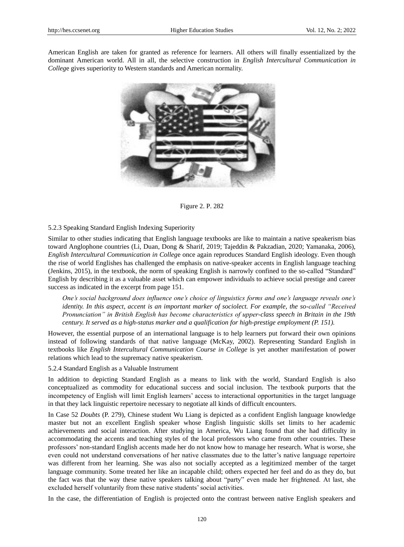American English are taken for granted as reference for learners. All others will finally essentialized by the dominant American world. All in all, the selective construction in *English Intercultural Communication in Colleg*e gives superiority to Western standards and American normality.



Figure 2. P. 282

# 5.2.3 Speaking Standard English Indexing Superiority

Similar to other studies indicating that English language textbooks are like to maintain a native speakerism bias toward Anglophone countries (Li, Duan, Dong & Sharif, 2019; Tajeddin & Pakzadian, 2020; Yamanaka, 2006), *English Intercultural Communication in Colleg*e once again reproduces Standard English ideology. Even though the rise of world Englishes has challenged the emphasis on native-speaker accents in English language teaching (Jenkins, 2015), in the textbook, the norm of speaking English is narrowly confined to the so-called "Standard" English by describing it as a valuable asset which can empower individuals to achieve social prestige and career success as indicated in the excerpt from page 151.

*One's social background does influence one's choice of linguistics forms and one's language reveals one's identity. In this aspect, accent is an important marker of sociolect. For example, the so-called "Received Pronunciation" in British English has become characteristics of upper-class speech in Britain in the 19th century. It served as a high-status marker and a qualification for high-prestige employment (P. 151).*

However, the essential purpose of an international language is to help learners put forward their own opinions instead of following standards of that native language (McKay, 2002). Representing Standard English in textbooks like *English Intercultural Communication Course in College* is yet another manifestation of power relations which lead to the supremacy native speakerism.

# 5.2.4 Standard English as a Valuable Instrument

In addition to depicting Standard English as a means to link with the world, Standard English is also conceptualized as commodity for educational success and social inclusion. The textbook purports that the incompetency of English will limit English learners" access to interactional opportunities in the target language in that they lack linguistic repertoire necessary to negotiate all kinds of difficult encounters.

In Case 52 *Doubts* (P. 279), Chinese student Wu Liang is depicted as a confident English language knowledge master but not an excellent English speaker whose English linguistic skills set limits to her academic achievements and social interaction. After studying in America, Wu Liang found that she had difficulty in accommodating the accents and teaching styles of the local professors who came from other countries. These professors" non-standard English accents made her do not know how to manage her research. What is worse, she even could not understand conversations of her native classmates due to the latter"s native language repertoire was different from her learning. She was also not socially accepted as a legitimized member of the target language community. Some treated her like an incapable child; others expected her feel and do as they do, but the fact was that the way these native speakers talking about "party" even made her frightened. At last, she excluded herself voluntarily from these native students' social activities.

In the case, the differentiation of English is projected onto the contrast between native English speakers and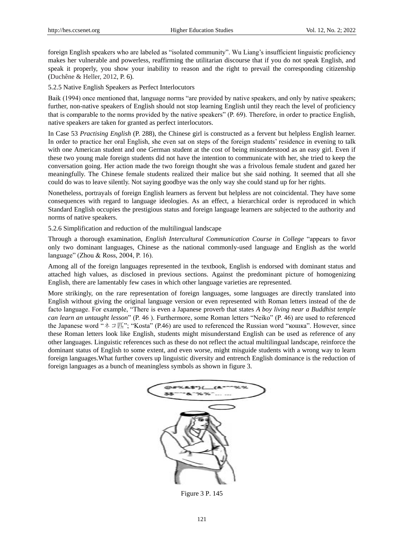foreign English speakers who are labeled as "isolated community". Wu Liang"s insufficient linguistic proficiency makes her vulnerable and powerless, reaffirming the utilitarian discourse that if you do not speak English, and speak it properly, you show your inability to reason and the right to prevail the corresponding citizenship (Duchêne & Heller, 2012, P. 6).

5.2.5 Native English Speakers as Perfect Interlocutors

Baik (1994) once mentioned that, language norms "are provided by native speakers, and only by native speakers; further, non-native speakers of English should not stop learning English until they reach the level of proficiency that is comparable to the norms provided by the native speakers" (P. 69). Therefore, in order to practice English, native speakers are taken for granted as perfect interlocutors.

In Case 53 *Practising English* (P. 288), the Chinese girl is constructed as a fervent but helpless English learner. In order to practice her oral English, she even sat on steps of the foreign students" residence in evening to talk with one American student and one German student at the cost of being misunderstood as an easy girl. Even if these two young male foreign students did not have the intention to communicate with her, she tried to keep the conversation going. Her action made the two foreign thought she was a frivolous female student and gazed her meaningfully. The Chinese female students realized their malice but she said nothing. It seemed that all she could do was to leave silently. Not saying goodbye was the only way she could stand up for her rights.

Nonetheless, portrayals of foreign English learners as fervent but helpless are not coincidental. They have some consequences with regard to language ideologies. As an effect, a hierarchical order is reproduced in which Standard English occupies the prestigious status and foreign language learners are subjected to the authority and norms of native speakers.

5.2.6 Simplification and reduction of the multilingual landscape

Through a thorough examination, *English Intercultural Communication Course in College* "appears to favor only two dominant languages, Chinese as the national commonly-used language and English as the world language" (Zhou & Ross, 2004, P. 16).

Among all of the foreign languages represented in the textbook, English is endorsed with dominant status and attached high values, as disclosed in previous sections. Against the predominant picture of homogenizing English, there are lamentably few cases in which other language varieties are represented.

More strikingly, on the rare representation of foreign languages, some languages are directly translated into English without giving the original language version or even represented with Roman letters instead of the de facto language. For example, "There is even a Japanese proverb that states *A boy living near a Buddhist temple can learn an untaught lesson*" (P. 46 ). Furthermore, some Roman letters "Neiko" (P. 46) are used to referenced the Japanese word " $\lambda \supset \mathbb{Z}$ "; "Kosta" (P.46) are used to referenced the Russian word "кошка". However, since these Roman letters look like English, students might misunderstand English can be used as reference of any other languages. Linguistic references such as these do not reflect the actual multilingual landscape, reinforce the dominant status of English to some extent, and even worse, might misguide students with a wrong way to learn foreign languages.What further covers up linguistic diversity and entrench English dominance is the reduction of foreign languages as a bunch of meaningless symbols as shown in figure 3.



Figure 3 P. 145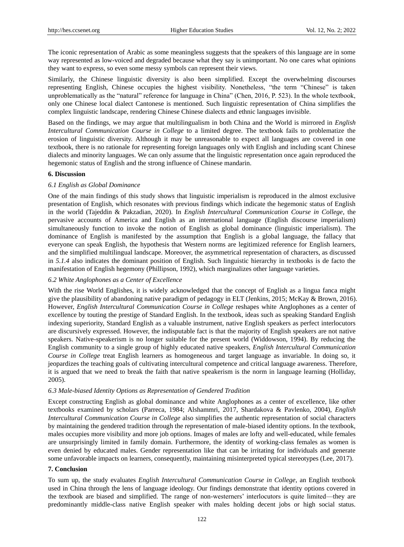The iconic representation of Arabic as some meaningless suggests that the speakers of this language are in some way represented as low-voiced and degraded because what they say is unimportant. No one cares what opinions they want to express, so even some messy symbols can represent their views.

Similarly, the Chinese linguistic diversity is also been simplified. Except the overwhelming discourses representing English, Chinese occupies the highest visibility. Nonetheless, "the term "Chinese" is taken unproblematically as the "natural" reference for language in China" (Chen, 2016, P. 523). In the whole textbook, only one Chinese local dialect Cantonese is mentioned. Such linguistic representation of China simplifies the complex linguistic landscape, rendering Chinese Chinese dialects and ethnic languages invisible.

Based on the findings, we may argue that multilingualism in both China and the World is mirrored in *English Intercultural Communication Course in College* to a limited degree. The textbook fails to problematize the erosion of linguistic diversity. Although it may be unreasonable to expect all languages are covered in one textbook, there is no rationale for representing foreign languages only with English and including scant Chinese dialects and minority languages. We can only assume that the linguistic representation once again reproduced the hegemonic status of English and the strong influence of Chinese mandarin.

# **6. Discussion**

# *6.1 English as Global Dominance*

One of the main findings of this study shows that linguistic imperialism is reproduced in the almost exclusive presentation of English, which resonates with previous findings which indicate the hegemonic status of English in the world (Tajeddin & Pakzadian, 2020). In *English Intercultural Communication Course in College*, the pervasive accounts of America and English as an international language (English discourse imperialism) simultaneously function to invoke the notion of English as global dominance (linguistic imperialism). The dominance of English is manifested by the assumption that English is a global language, the fallacy that everyone can speak English, the hypothesis that Western norms are legitimized reference for English learners, and the simplified multilingual landscape. Moreover, the asymmetrical representation of characters, as discussed in *5.1.4* also indicates the dominant position of English. Such linguistic hierarchy in textbooks is de facto the manifestation of English hegemony (Phillipson, 1992), which marginalizes other language varieties.

# *6.2 White Anglophones as a Center of Excellence*

With the rise World Englishes, it is widely acknowledged that the concept of English as a lingua fanca might give the plausibility of abandoning native paradigm of pedagogy in ELT (Jenkins, 2015; McKay & Brown, 2016). However, *English Intercultural Communication Course in College* reshapes white Anglophones as a center of excellence by touting the prestige of Standard English. In the textbook, ideas such as speaking Standard English indexing superiority, Standard English as a valuable instrument, native English speakers as perfect interlocutors are discursively expressed. However, the indisputable fact is that the majority of English speakers are not native speakers. Native-speakerism is no longer suitable for the present world (Widdowson, 1994). By reducing the English community to a single group of highly educated native speakers, *English Intercultural Communication Course in College* treat English learners as homogeneous and target language as invariable. In doing so, it jeopardizes the teaching goals of cultivating intercultural competence and critical language awareness. Therefore, it is argued that we need to break the faith that native speakerism is the norm in language learning (Holliday, 2005).

# *6.3 Male-biased Identity Options as Representation of Gendered Tradition*

Except constructing English as global dominance and white Anglophones as a center of excellence, like other textbooks examined by scholars (Parreca, 1984; Alshammri, 2017, Shardakova & Pavlenko, 2004), *English Intercultural Communication Course in College* also simplifies the authentic representation of social characters by maintaining the gendered tradition through the representation of male-biased identity options. In the textbook, males occupies more visibility and more job options. Images of males are lofty and well-educated, while females are unsurprisingly limited in family domain. Furthermore, the identity of working-class females as women is even denied by educated males. Gender representation like that can be irritating for individuals and generate some unfavorable impacts on learners, consequently, maintaining misinterpreted typical stereotypes (Lee, 2017).

# **7. Conclusion**

To sum up, the study evaluates *English Intercultural Communication Course in College*, an English textbook used in China through the lens of language ideology. Our findings demonstrate that identity options covered in the textbook are biased and simplified. The range of non-westerners" interlocutors is quite limited—they are predominantly middle-class native English speaker with males holding decent jobs or high social status.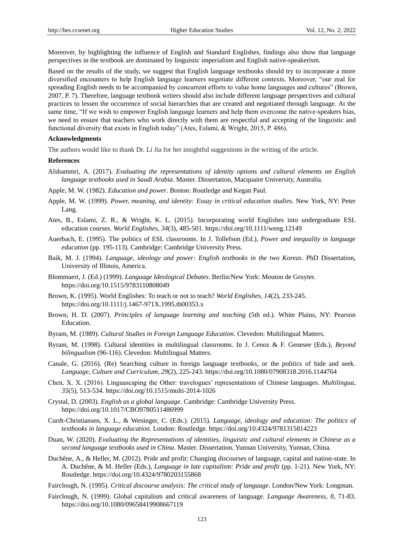Moreover, by highlighting the influence of English and Standard Englishes, findings also show that language perspectives in the textbook are dominated by linguistic imperialism and English native-speakerism.

Based on the results of the study, we suggest that English language textbooks should try to incorporate a more diversified encounters to help English language learners negotiate different contexts. Moreover, "our zeal for spreading English needs to be accompanied by concurrent efforts to value home languages and cultures" (Brown, 2007, P. 7). Therefore, language textbook writers should also include different language perspectives and cultural practices to lessen the occurrence of social hierarchies that are created and negotiated through language. At the same time, "If we wish to empower English language learners and help them overcome the native-speakers bias, we need to ensure that teachers who work directly with them are respectful and accepting of the linguistic and functional diversity that exists in English today" (Ates, Eslami, & Wright, 2015, P. 486).

#### **Acknowledgments**

The authors would like to thank Dr. Li Jia for her insightful suggestions in the writing of the article.

## **References**

- Alshammri, A. (2017). *Evaluating the representations of identity options and cultural elements on English language textbooks used in Saudi Arabia*. Master. Dissertation, Macquaire University, Australia.
- Apple, M. W. (1982). *Education and power*. Boston: Routledge and Kegan Paul.
- Apple, M. W. (1999). *Power, meaning, and identity: Essay in critical education studies*. New York, NY: Peter Lang.
- Ates, B., Eslami, Z. R., & Wright, K. L. (2015). Incorporating world Englishes into undergraduate ESL education courses. *World Englishes, 34*(3), 485-501. https://doi.org/10.1111/weng.12149
- Auerbach, E. (1995). The politics of ESL classrooms. In J. Tollefson (Ed.), *Power and inequality in language education* (pp. 195-113). Cambridge: Cambridge University Press.
- Baik, M. J. (1994). *Language, ideology and power: English textbooks in the two Koreas*. PhD Dissertation, University of Illinois, America.
- Blommaert, J. (Ed.) (1999). *Language Ideological Debates*. Berlin/New York: Mouton de Gruyter. https://doi.org/10.1515/9783110808049
- Brown, K. (1995). World Englishes: To teach or not to teach? *World Englishes, 14*(2), 233-245. https://doi.org/10.1111/j.1467-971X.1995.tb00353.x
- Brown, H. D. (2007). *Principles of language learning and teaching* (5th ed.). White Plains, NY: Pearson Education.
- Byram, M. (1989). *Cultural Studies in Foreign Language Education*. Clevedon: Multilingual Matters.
- Byram, M. (1998). Cultural identities in multilingual classrooms. In J. Cenoz & F. Genesee (Eds.), *Beyond bilingualism* (96-116). Clevedon: Multilingual Matters.
- Canale, G. (2016). (Re) Searching culture in foreign language textbooks, or the politics of hide and seek. *Language, Culture and Curriculum, 29*(2), 225-243. https://doi.org/10.1080/07908318.2016.1144764
- Chen, X. X. (2016). Linguascaping the Other: travelogues" representations of Chinese languages. *Multilingua, 35*(5), 513-534. https://doi.org/10.1515/multi-2014-1026
- Crystal, D. (2003). *English as a global language*. Cambridge: Cambridge University Press. https://doi.org/10.1017/CBO9780511486999
- Curdt-Christiansen, X. L., & Weninger, C. (Eds.). (2015). *Language, ideology and education: The politics of textbooks in language education*. London: Routledge. https://doi.org/10.4324/9781315814223
- Duan, W. (2020). *Evaluating the Representations of identities, linguistic and cultural elements in Chinese as a second language textbooks used in China*. Master. Dissertation, Yunnan University, Yunnan, China.
- Duchêne, A., & Heller, M. (2012). Pride and profit: Changing discourses of language, capital and nation-state. In A. Duchêne, & M. Heller (Eds.), *Language in late capitalism: Pride and profit* (pp. 1-21). New York, NY: Routledge. https://doi.org/10.4324/9780203155868
- Fairclough, N. (1995). *Critical discourse analysis: The critical study of language*. London/New York: Longman.
- Fairclough, N. (1999). Global capitalism and critical awareness of language. *Language Awareness, 8*, 71-83. https://doi.org/10.1080/09658419908667119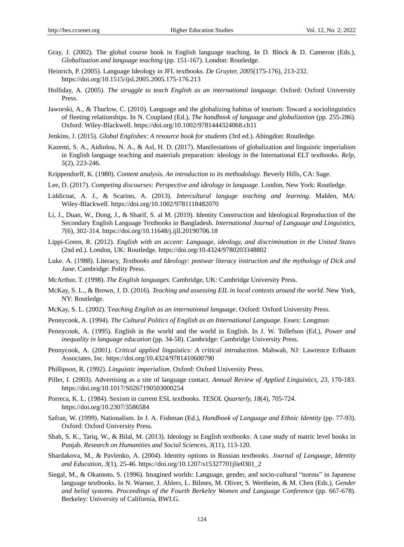- Gray, J. (2002). The global course book in English language teaching. In D. Block & D. Cameron (Eds.), *Globalization and language teaching* (pp. 151-167). London: Routledge.
- Heinrich, P. (2005). Language Ideology in JFL textbooks. *De Gruyter, 2005*(175-176), 213-232. https://doi.org/10.1515/ijsl.2005.2005.175-176.213
- Holliday, A. (2005). *The struggle to teach English as an international language.* Oxford: Oxford University Press.
- Jaworski, A., & Thurlow, C. (2010). Language and the globalizing habitus of tourism: Toward a sociolinguistics of fleeting relationships. In N. Coupland (Ed.), *The handbook of language and globalization* (pp. 255-286). Oxford: Wiley-Blackwell. https://doi.org/10.1002/9781444324068.ch11
- Jenkins, J. (2015). *Global Englishes: A resource book for students* (3rd ed.). Abingdon: Routledge.
- Kazemi, S. A., Aidinlou, N. A., & Asl, H. D. (2017). Manifestations of globalization and linguistic imperialism in English language teaching and materials preparation: ideology in the International ELT textbooks. *Relp, 5*(2), 223-246.
- Krippendorff, K. (1980). *Content analysis. An introduction to its methodology*. Beverly Hills, CA: Sage.
- Lee, D. (2017). *Competing discourses: Perspective and ideology in language*. London, New York: Routledge.
- Liddicoat, A. J., & Scarino, A. (2013). *Intercultural languge teaching and learning*. Malden, MA: Wiley-Blackwell. https://doi.org/10.1002/9781118482070
- Li, J., Duan, W., Dong, J., & Sharif, S. al M. (2019). Identity Construction and Ideological Reproduction of the Secondary English Language Textbooks in Bangladesh. *International Journal of Language and Linguistics, 7*(6), 302-314. https://doi.org/10.11648/j.ijll.20190706.18
- Lippi-Green, R. (2012). *English with an accent: Language, ideology, and discrimination in the United States* (2nd ed.). London, UK: Routledge. https://doi.org/10.4324/9780203348802
- Luke. A. (1988). Literacy, *Textbooks and Ideology: postwar literacy instruction and the mythology of Dick and Jane*. Cambridge: Polity Press.
- McArthur, T. (1998). *The English languages*. Cambridge, UK: Cambridge University Press.
- McKay, S. L., & Brown, J. D. (2016). *Teaching and assessing EIL in local contexts around the world*. New York, NY: Routledge.
- McKay, S. L. (2002). T*eaching English as an international language*. Oxford: Oxford University Press.
- Pennycook, A. (1994). *The Cultural Politics of English as an International Language*. Essex: Longman
- Pennycook, A. (1995). English in the world and the world in English. In J. W. Tollefson (Ed.), *Power and inequality in language education* (pp. 34-58). Cambridge: Cambridge University Press.
- Pennycook, A. (2001). *Critical applied linguistics: A critical introduction*. Mahwah, NJ: Lawrence Erlbaum Associates, Inc. https://doi.org/10.4324/9781410600790
- Phillipson, R. (1992). *Linguistic imperialism*. Oxford: Oxford University Press.
- Piller, I. (2003). Advertising as a site of language contact. *Annual Review of Applied Linguistics, 23*, 170-183. https://doi.org/10.1017/S0267190503000254
- Porreca, K. L. (1984). Sexism in current ESL textbooks. *TESOL Quarterly, 18*(4), 705-724. https://doi.org/10.2307/3586584
- Safran, W. (1999). Nationalism. In J. A. Fishman (Ed.), *Handbook of Language and Ethnic Identity* (pp. 77-93). Oxford: Oxford University Press.
- Shah, S. K., Tariq, W., & Bilal, M. (2013). Ideology in English textbooks: A case study of matric level books in Punjab. *Research on Humanities and Social Sciences, 3*(11), 113-120.
- Shardakova, M., & Pavlenko, A. (2004). Identity options in Russian textbooks. *Journal of Language, Identity and Education, 3*(1), 25-46. https://doi.org/10.1207/s15327701jlie0301\_2
- Siegal, M., & Okamoto, S. (1996). Imagined worlds: Language, gender, and socio-cultural "norms" in Japanese language textbooks. In N. Warner, J. Ahlers, L. Bilmes, M. Oliver, S. Wertheim, & M. Chen (Eds.), *Gender and belief systems. Proceedings of the Fourth Berkeley Women and Language Conference* (pp. 667-678). Berkeley: University of California, BWLG.